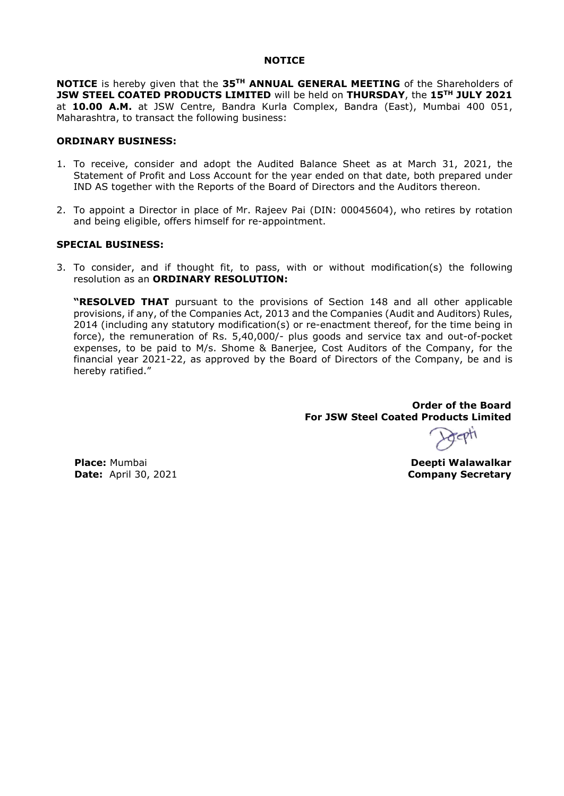### **NOTICE**

**NOTICE** is hereby given that the **35TH ANNUAL GENERAL MEETING** of the Shareholders of **JSW STEEL COATED PRODUCTS LIMITED** will be held on **THURSDAY**, the **15TH JULY 2021** at **10.00 A.M.** at JSW Centre, Bandra Kurla Complex, Bandra (East), Mumbai 400 051, Maharashtra, to transact the following business:

#### **ORDINARY BUSINESS:**

- 1. To receive, consider and adopt the Audited Balance Sheet as at March 31, 2021, the Statement of Profit and Loss Account for the year ended on that date, both prepared under IND AS together with the Reports of the Board of Directors and the Auditors thereon.
- 2. To appoint a Director in place of Mr. Rajeev Pai (DIN: 00045604), who retires by rotation and being eligible, offers himself for re-appointment.

### **SPECIAL BUSINESS:**

3. To consider, and if thought fit, to pass, with or without modification(s) the following resolution as an **ORDINARY RESOLUTION:**

**"RESOLVED THAT** pursuant to the provisions of Section 148 and all other applicable provisions, if any, of the Companies Act, 2013 and the Companies (Audit and Auditors) Rules, 2014 (including any statutory modification(s) or re-enactment thereof, for the time being in force), the remuneration of Rs. 5,40,000/- plus goods and service tax and out-of-pocket expenses, to be paid to M/s. Shome & Banerjee, Cost Auditors of the Company, for the financial year 2021-22, as approved by the Board of Directors of the Company, be and is hereby ratified."

> **Order of the Board For JSW Steel Coated Products Limited**

**Deepti Walawalkar Company Secretary**

**Place:** Mumbai **Date:** April 30, 2021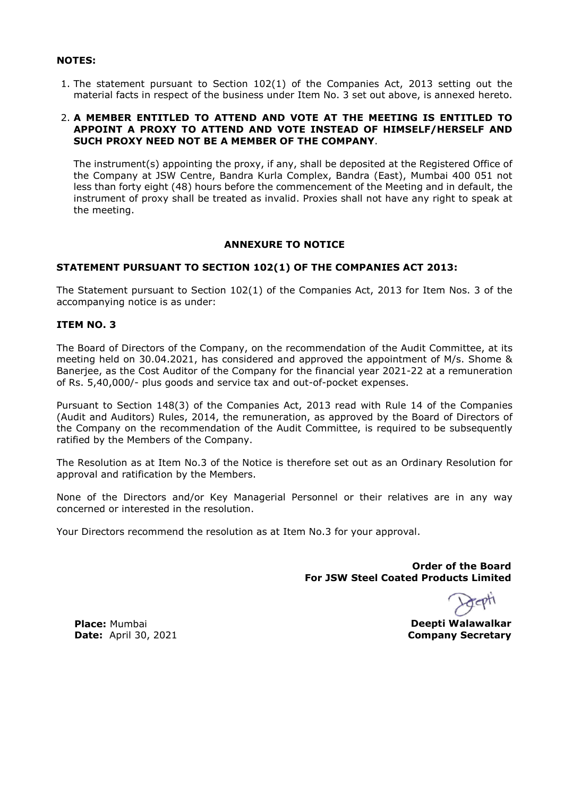# **NOTES:**

1. The statement pursuant to Section 102(1) of the Companies Act, 2013 setting out the material facts in respect of the business under Item No. 3 set out above, is annexed hereto.

## 2. **A MEMBER ENTITLED TO ATTEND AND VOTE AT THE MEETING IS ENTITLED TO APPOINT A PROXY TO ATTEND AND VOTE INSTEAD OF HIMSELF/HERSELF AND SUCH PROXY NEED NOT BE A MEMBER OF THE COMPANY**.

The instrument(s) appointing the proxy, if any, shall be deposited at the Registered Office of the Company at JSW Centre, Bandra Kurla Complex, Bandra (East), Mumbai 400 051 not less than forty eight (48) hours before the commencement of the Meeting and in default, the instrument of proxy shall be treated as invalid. Proxies shall not have any right to speak at the meeting.

# **ANNEXURE TO NOTICE**

# **STATEMENT PURSUANT TO SECTION 102(1) OF THE COMPANIES ACT 2013:**

The Statement pursuant to Section 102(1) of the Companies Act, 2013 for Item Nos. 3 of the accompanying notice is as under:

# **ITEM NO. 3**

The Board of Directors of the Company, on the recommendation of the Audit Committee, at its meeting held on 30.04.2021, has considered and approved the appointment of M/s. Shome & Banerjee, as the Cost Auditor of the Company for the financial year 2021-22 at a remuneration of Rs. 5,40,000/- plus goods and service tax and out-of-pocket expenses.

Pursuant to Section 148(3) of the Companies Act, 2013 read with Rule 14 of the Companies (Audit and Auditors) Rules, 2014, the remuneration, as approved by the Board of Directors of the Company on the recommendation of the Audit Committee, is required to be subsequently ratified by the Members of the Company.

The Resolution as at Item No.3 of the Notice is therefore set out as an Ordinary Resolution for approval and ratification by the Members.

None of the Directors and/or Key Managerial Personnel or their relatives are in any way concerned or interested in the resolution.

Your Directors recommend the resolution as at Item No.3 for your approval.

**Order of the Board For JSW Steel Coated Products Limited**

**Deepti Walawalkar Company Secretary**

**Place:** Mumbai **Date:** April 30, 2021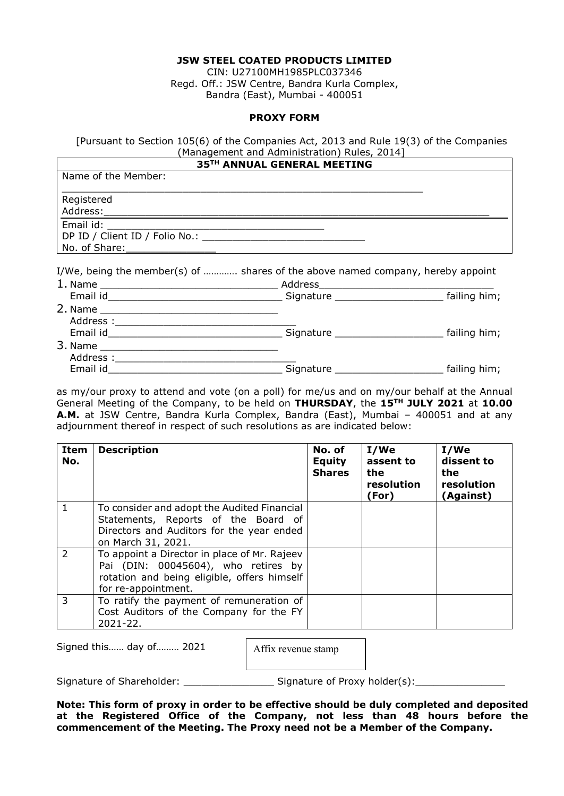## **JSW STEEL COATED PRODUCTS LIMITED**

CIN: U27100MH1985PLC037346 Regd. Off.: JSW Centre, Bandra Kurla Complex, Bandra (East), Mumbai - 400051

### **PROXY FORM**

[Pursuant to Section 105(6) of the Companies Act, 2013 and Rule 19(3) of the Companies (Management and Administration) Rules, 2014]

|                     | 35TH ANNUAL GENERAL MEETING                                                     |  |
|---------------------|---------------------------------------------------------------------------------|--|
| Name of the Member: |                                                                                 |  |
| Registered          |                                                                                 |  |
|                     |                                                                                 |  |
|                     | I/We, being the member(s) of  shares of the above named company, hereby appoint |  |
|                     |                                                                                 |  |
|                     |                                                                                 |  |
|                     |                                                                                 |  |
|                     |                                                                                 |  |
|                     |                                                                                 |  |

| 3. Name   |           | -            |
|-----------|-----------|--------------|
| Address · |           |              |
| Email id  | Signature | failing him; |

as my/our proxy to attend and vote (on a poll) for me/us and on my/our behalf at the Annual General Meeting of the Company, to be held on **THURSDAY**, the **15TH JULY 2021** at **10.00 A.M.** at JSW Centre, Bandra Kurla Complex, Bandra (East), Mumbai – 400051 and at any adjournment thereof in respect of such resolutions as are indicated below:

| Item<br>No.    | <b>Description</b>                                                                                                                                        | No. of<br><b>Equity</b><br><b>Shares</b> | I/We<br>assent to<br>the<br>resolution<br>(For) | I/We<br>dissent to<br>the<br>resolution<br>(Against) |
|----------------|-----------------------------------------------------------------------------------------------------------------------------------------------------------|------------------------------------------|-------------------------------------------------|------------------------------------------------------|
| 1              | To consider and adopt the Audited Financial<br>Statements, Reports of the Board of<br>Directors and Auditors for the year ended<br>on March 31, 2021.     |                                          |                                                 |                                                      |
| $\overline{2}$ | To appoint a Director in place of Mr. Rajeev<br>Pai (DIN: 00045604), who retires by<br>rotation and being eligible, offers himself<br>for re-appointment. |                                          |                                                 |                                                      |
| 3              | To ratify the payment of remuneration of<br>Cost Auditors of the Company for the FY<br>$2021 - 22$ .                                                      |                                          |                                                 |                                                      |

Signed this…… day of……… 2021

Affix revenue stamp

Signature of Shareholder: \_\_\_\_\_\_\_\_\_\_\_\_\_\_\_ Signature of Proxy holder(s):\_\_\_\_\_\_\_\_\_\_\_\_\_\_\_

**Note: This form of proxy in order to be effective should be duly completed and deposited at the Registered Office of the Company, not less than 48 hours before the commencement of the Meeting. The Proxy need not be a Member of the Company.**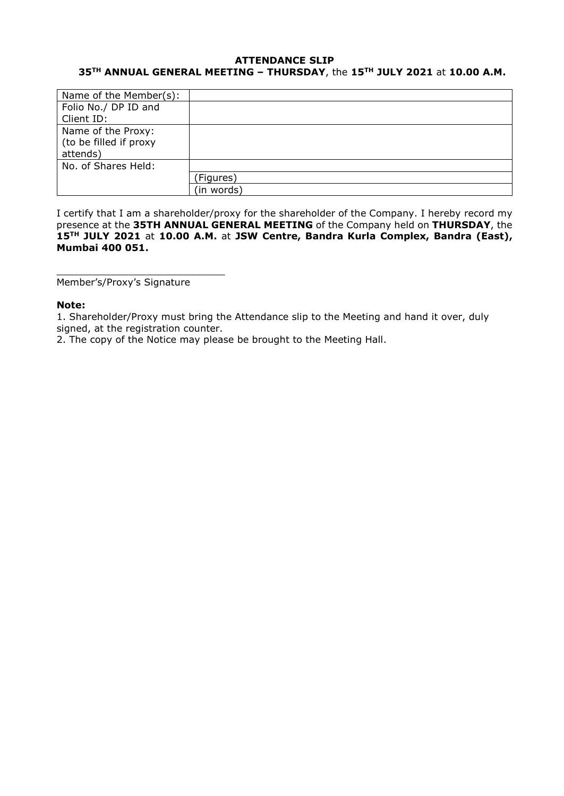# **ATTENDANCE SLIP 35TH ANNUAL GENERAL MEETING – THURSDAY**, the **15TH JULY 2021** at **10.00 A.M.**

| Name of the Member(s): |            |
|------------------------|------------|
| Folio No./ DP ID and   |            |
| Client ID:             |            |
| Name of the Proxy:     |            |
| (to be filled if proxy |            |
| attends)               |            |
| No. of Shares Held:    |            |
|                        | (Figures)  |
|                        | (in words) |

I certify that I am a shareholder/proxy for the shareholder of the Company. I hereby record my presence at the **35TH ANNUAL GENERAL MEETING** of the Company held on **THURSDAY**, the **15TH JULY 2021** at **10.00 A.M.** at **JSW Centre, Bandra Kurla Complex, Bandra (East), Mumbai 400 051.**

Member's/Proxy's Signature

\_\_\_\_\_\_\_\_\_\_\_\_\_\_\_\_\_\_\_\_\_\_\_\_\_\_\_\_

## **Note:**

1. Shareholder/Proxy must bring the Attendance slip to the Meeting and hand it over, duly signed, at the registration counter.

2. The copy of the Notice may please be brought to the Meeting Hall.